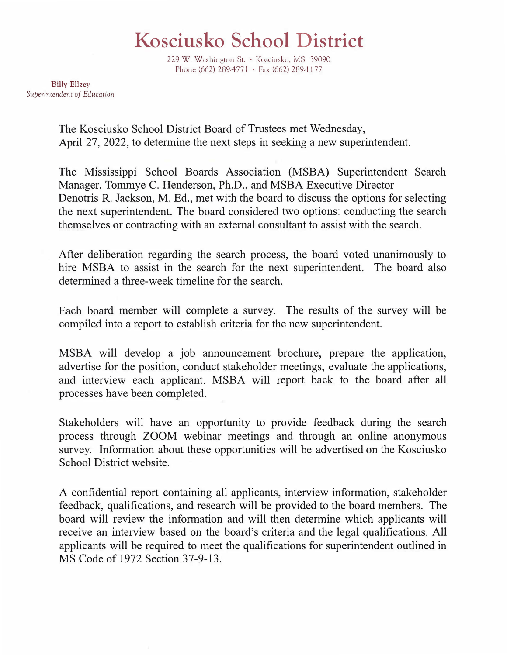## **Kosciusko School District**

229 W. Washington St. • Kosciusko, MS 39090 Phone (662) 289-4771 • Fax (662) 289-1177

**Billy** Ellzey Superintendent of Education

> The Kosciusko School District Board of Trustees met Wednesday, April 27, 2022, to determine the next steps in seeking a new superintendent.

The Mississippi School Boards Association (MSBA) Superintendent Search Manager, Tommye C. Henderson, Ph.D., and MSBA Executive Director Denotris R. Jackson, M. Ed., met with the board to discuss the options for selecting the next superintendent. The board considered two options: conducting the search themselves or contracting with an external consultant to assist with the search.

After deliberation regarding the search process, the board voted unanimously to hire MSBA to assist in the search for the next superintendent. The board also determined a three-week timeline for the search.

Each board member will complete a survey. The results of the survey will be compiled into a report to establish criteria for the new superintendent.

MSBA will develop a job announcement brochure, prepare the application, advertise for the position, conduct stakeholder meetings, evaluate the applications, and interview each applicant. MSBA will report back to the board after all processes have been completed.

Stakeholders will have an opportunity to provide feedback during the search process through ZOOM webinar meetings and through an online anonymous survey. Information about these opportunities will be advertised on the Kosciusko School District website.

A confidential report containing all applicants, interview information, stakeholder feedback, qualifications, and research will be provided to the board members. The board will review the information and will then determine which applicants will receive an interview based on the board's criteria and the legal qualifications. All applicants will be required to meet the qualifications for superintendent outlined in MS Code of 1972 Section 37-9-13.